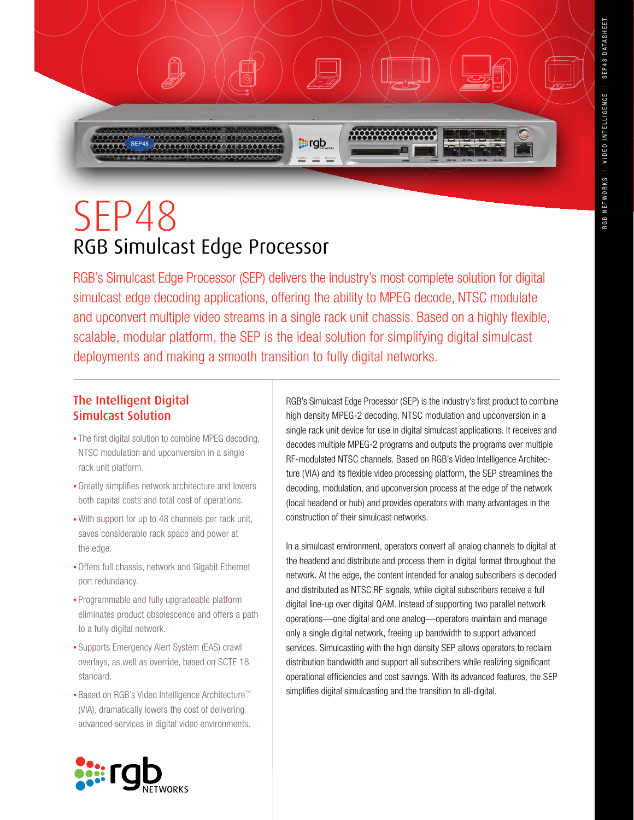# SEP48 RGB Simulcast Edge Processor

RGB's Simulcast Edge Processor (SEP) delivers the industry's most complete solution for digital simulcast edge decoding applications, offering the ability to MPEG decode, NTSC modulate and upconvert multiple video streams in a single rack unit chassis. Based on a highly flexible, scalable, modular platform, the SEP is the ideal solution for simplifying digital simulcast deployments and making a smooth transition to fully digital networks.

**starts** 

## The Intelligent Digital Simulcast Solution

- The first digital solution to combine MPEG decoding, NTSC modulation and upconversion in a single rack unit platform.
- Greatly simplifies network architecture and lowers both capital costs and total cost of operations.
- With support for up to 48 channels per rack unit, saves considerable rack space and power at the edge.
- Offers full chassis, network and Gigabit Ethernet port redundancy.
- • Programmable and fully upgradeable platform eliminates product obsolescence and offers a path to a fully digital network.
- Supports Emergency Alert System (EAS) crawl overlays, as well as override, based on SCTE 18 standard.
- • Based on RGB's Video Intelligence Architecture™ (VIA), dramatically lowers the cost of delivering advanced services in digital video environments.

RGB's Simulcast Edge Processor (SEP) is the industry's first product to combine high density MPEG-2 decoding, NTSC modulation and upconversion in a single rack unit device for use in digital simulcast applications. It receives and decodes multiple MPEG-2 programs and outputs the programs over multiple RF-modulated NTSC channels. Based on RGB's Video Intelligence Architecture (VIA) and its flexible video processing platform, the SEP streamlines the decoding, modulation, and upconversion process at the edge of the network (local headend or hub) and provides operators with many advantages in the construction of their simulcast networks.

In a simulcast environment, operators convert all analog channels to digital at the headend and distribute and process them in digital format throughout the network. At the edge, the content intended for analog subscribers is decoded and distributed as NTSC RF signals, while digital subscribers receive a full digital line-up over digital QAM. Instead of supporting two parallel network operations—one digital and one analog—operators maintain and manage only a single digital network, freeing up bandwidth to support advanced services. Simulcasting with the high density SEP allows operators to reclaim distribution bandwidth and support all subscribers while realizing significant operational efficiencies and cost savings. With its advanced features, the SEP simplifies digital simulcasting and the transition to all-digital.

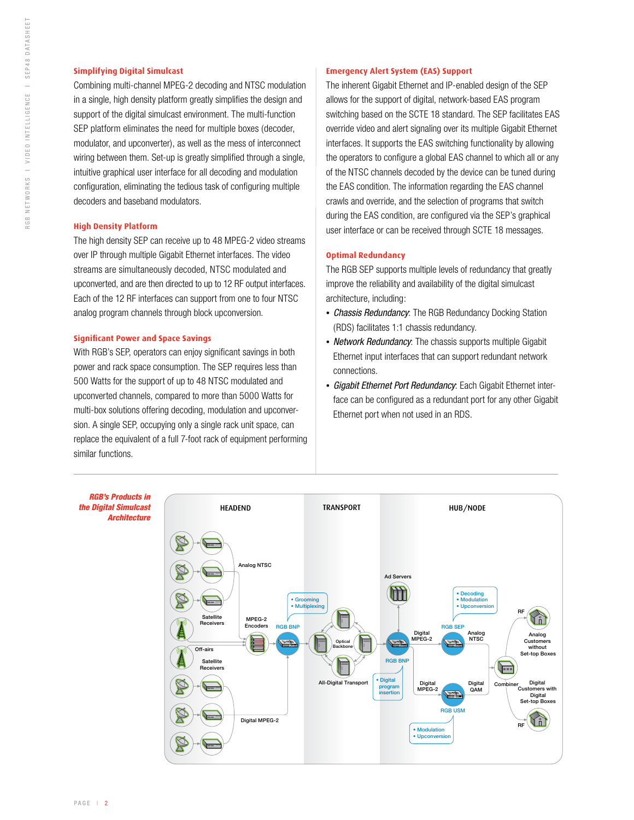#### **Simplifying Digital Simulcast**

Combining multi-channel MPEG-2 decoding and NTSC modulation in a single, high density platform greatly simplifies the design and support of the digital simulcast environment. The multi-function SEP platform eliminates the need for multiple boxes (decoder, modulator, and upconverter), as well as the mess of interconnect wiring between them. Set-up is greatly simplified through a single, intuitive graphical user interface for all decoding and modulation configuration, eliminating the tedious task of configuring multiple decoders and baseband modulators.

#### **High Density Platform**

The high density SEP can receive up to 48 MPEG-2 video streams over IP through multiple Gigabit Ethernet interfaces. The video streams are simultaneously decoded, NTSC modulated and upconverted, and are then directed to up to 12 RF output interfaces. Each of the 12 RF interfaces can support from one to four NTSC analog program channels through block upconversion.

#### **Significant Power and Space Savings**

With RGB's SEP, operators can enjoy significant savings in both power and rack space consumption. The SEP requires less than 500 Watts for the support of up to 48 NTSC modulated and upconverted channels, compared to more than 5000 Watts for multi-box solutions offering decoding, modulation and upconversion. A single SEP, occupying only a single rack unit space, can replace the equivalent of a full 7-foot rack of equipment performing similar functions.

#### **Emergency Alert System (EAS) Support**

The inherent Gigabit Ethernet and IP-enabled design of the SEP allows for the support of digital, network-based EAS program switching based on the SCTE 18 standard. The SEP facilitates EAS override video and alert signaling over its multiple Gigabit Ethernet interfaces. It supports the EAS switching functionality by allowing the operators to configure a global EAS channel to which all or any of the NTSC channels decoded by the device can be tuned during the EAS condition. The information regarding the EAS channel crawls and override, and the selection of programs that switch during the EAS condition, are configured via the SEP's graphical user interface or can be received through SCTE 18 messages.

#### **Optimal Redundancy**

The RGB SEP supports multiple levels of redundancy that greatly improve the reliability and availability of the digital simulcast architecture, including:

- *Chassis Redundancy*: The RGB Redundancy Docking Station (RDS) facilitates 1:1 chassis redundancy.
- *Network Redundancy*: The chassis supports multiple Gigabit Ethernet input interfaces that can support redundant network connections.
- *Gigabit Ethernet Port Redundancy*: Each Gigabit Ethernet interface can be configured as a redundant port for any other Gigabit Ethernet port when not used in an RDS.

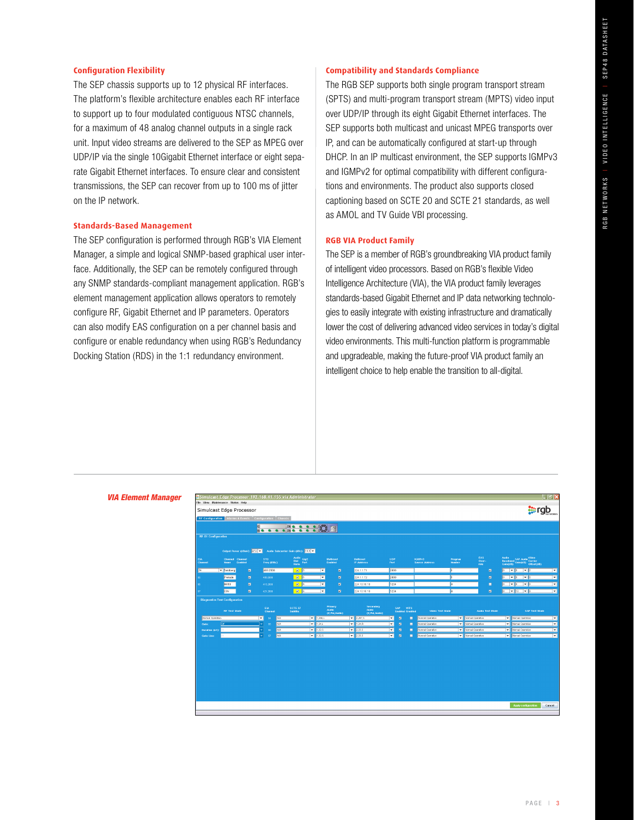#### **Configuration Flexibility**

The SEP chassis supports up to 12 physical RF interfaces. The platform's flexible architecture enables each RF interface to support up to four modulated contiguous NTSC channels, for a maximum of 48 analog channel outputs in a single rack unit. Input video streams are delivered to the SEP as MPEG over UDP/IP via the single 10Gigabit Ethernet interface or eight separate Gigabit Ethernet interfaces. To ensure clear and consistent transmissions, the SEP can recover from up to 100 ms of jitter on the IP network.

#### **Standards-Based Management**

The SEP configuration is performed through RGB's VIA Element Manager, a simple and logical SNMP-based graphical user interface. Additionally, the SEP can be remotely configured through any SNMP standards-compliant management application. RGB's element management application allows operators to remotely configure RF, Gigabit Ethernet and IP parameters. Operators can also modify EAS configuration on a per channel basis and configure or enable redundancy when using RGB's Redundancy Docking Station (RDS) in the 1:1 redundancy environment.

#### **Compatibility and Standards Compliance**

The RGB SEP supports both single program transport stream (SPTS) and multi-program transport stream (MPTS) video input over UDP/IP through its eight Gigabit Ethernet interfaces. The SEP supports both multicast and unicast MPEG transports over IP, and can be automatically configured at start-up through DHCP. In an IP multicast environment, the SEP supports IGMPv3 and IGMPv2 for optimal compatibility with different configurations and environments. The product also supports closed captioning based on SCTE 20 and SCTE 21 standards, as well as AMOL and TV Guide VBI processing.

#### **RGB VIA Product Family**

The SEP is a member of RGB's groundbreaking VIA product family of intelligent video processors. Based on RGB's flexible Video Intelligence Architecture (VIA), the VIA product family leverages standards-based Gigabit Ethernet and IP data networking technologies to easily integrate with existing infrastructure and dramatically lower the cost of delivering advanced video services in today's digital video environments. This multi-function platform is programmable and upgradeable, making the future-proof VIA product family an intelligent choice to help enable the transition to all-digital.

#### *VIA Element Manager*

| $\Box$ e x<br>Simulcast Edge Processor 192.168.41.155 via Administrator |                                |         |                                                  |                        |                            |                                   |                                            |                                  |                |                                            |                                      |             |                                              |        |                                      |                          |                                               |                       |                                                  |                                                                     |                        |
|-------------------------------------------------------------------------|--------------------------------|---------|--------------------------------------------------|------------------------|----------------------------|-----------------------------------|--------------------------------------------|----------------------------------|----------------|--------------------------------------------|--------------------------------------|-------------|----------------------------------------------|--------|--------------------------------------|--------------------------|-----------------------------------------------|-----------------------|--------------------------------------------------|---------------------------------------------------------------------|------------------------|
| File View Maintenance Status Help                                       |                                |         |                                                  |                        |                            |                                   |                                            |                                  |                |                                            |                                      |             |                                              |        |                                      |                          |                                               |                       |                                                  |                                                                     |                        |
| Simulcast Edge Processor                                                |                                |         |                                                  |                        |                            |                                   |                                            |                                  |                |                                            |                                      |             |                                              |        |                                      |                          |                                               |                       |                                                  |                                                                     | <b>SEP FOR SERVICE</b> |
| RF Configuration   Alarms & Events   Configuration   Chassis            |                                |         |                                                  |                        |                            |                                   |                                            |                                  |                |                                            |                                      |             |                                              |        |                                      |                          |                                               |                       |                                                  |                                                                     |                        |
|                                                                         |                                |         | $ {\bf C} $<br>$D$ <sub><math>\odot</math></sub> | $\bullet$              |                            | <b>Bioccounty</b>                 |                                            |                                  |                |                                            |                                      |             |                                              |        |                                      |                          |                                               |                       |                                                  |                                                                     |                        |
| <b>RF A1 Configuration</b>                                              |                                |         |                                                  |                        |                            |                                   |                                            |                                  |                |                                            |                                      |             |                                              |        |                                      |                          |                                               |                       |                                                  |                                                                     |                        |
|                                                                         |                                |         |                                                  |                        |                            |                                   |                                            |                                  |                |                                            |                                      |             |                                              |        |                                      |                          |                                               |                       |                                                  |                                                                     |                        |
|                                                                         | Output Power (dBmV): 470 V     |         |                                                  |                        |                            | Audio Subcorrier Gain (dBc): [40] |                                            |                                  |                |                                            |                                      |             |                                              |        |                                      |                          |                                               |                       |                                                  |                                                                     |                        |
| <b>EIA</b><br>Chonnel                                                   | Channel Channel<br><b>None</b> | Enabled |                                                  | STD.<br>Freq (MHz)     |                            | Audio<br>Diol Gigt<br>Norm Port   |                                            | Multicast<br>Enobled             |                |                                            | Multicast<br><b>IP Address</b>       | UDP<br>Port |                                              |        | <b>IGMPe3</b><br>Source Address      | Program<br><b>Number</b> |                                               | EAS:<br>Over-<br>ride |                                                  | Audio<br>Boscband SAP Audio Corrier<br>Gain(dB) Goin(dB) Offset(dB) |                        |
| 54                                                                      | v Fandberg                     |         | $\blacksquare$                                   | 403.2500               |                            | $B$ 5                             |                                            | ⊡                                | $\overline{v}$ |                                            | 224.1.1.71                           | 2000        |                                              |        |                                      |                          |                                               |                       | $\blacksquare$                                   | ⊶∎<br>$\bullet$ 0                                                   | ™                      |
| 66                                                                      | Pretude                        |         | $\blacksquare$                                   | 409,2600               |                            | $\boxed{2}$                       |                                            | ⊡<br>$\mathbf{v}$                |                |                                            | 224.1.1.72                           | 2000        |                                              |        |                                      |                          |                                               |                       | $\overline{B}$                                   | $\bullet$ 0<br>$\bullet$                                            | E                      |
| 68                                                                      | MV50                           |         | $\blacksquare$                                   | 415,2600               |                            | 25                                |                                            | $\blacksquare$<br>$\overline{M}$ |                |                                            | 224.10.10.10                         |             | 1234                                         |        | м                                    |                          |                                               | Ξ                     | ⊡[⊽<br>$\bullet$ 0                               | E                                                                   |                        |
| 67                                                                      | <b>JON</b>                     |         | $\blacksquare$                                   | 421.2500               |                            | 25                                |                                            | О                                | $\blacksquare$ |                                            | 224.10.10.10                         |             | 1234                                         |        | k                                    |                          |                                               | $\blacksquare$        | $\blacktriangleright$ 10 $\blacktriangleright$ 0 | F                                                                   |                        |
| <b>Diagnostics Test Configuration</b>                                   |                                |         |                                                  |                        |                            |                                   |                                            |                                  |                |                                            |                                      |             |                                              |        |                                      |                          |                                               |                       |                                                  |                                                                     |                        |
|                                                                         | <b>RF Test Mode</b>            |         |                                                  | EIA.<br><b>Channel</b> |                            | SCTE 27<br>Subtitle               |                                            | Primary<br>Audio                 | (#,Pid,Audio)  |                                            | Secondary<br>Audio:<br>(#,Pid,Audio) |             | SAP<br><b>VITS</b><br><b>Enabled Enabled</b> |        | Video Test Mode                      |                          |                                               |                       | Audio Test Mode                                  | <b>SAP Test Mode</b>                                                |                        |
| Normal Operation                                                        |                                |         |                                                  | ▿<br>64                | <b>FAIA</b>                |                                   | $\sqrt{4.256L}$                            |                                  |                | $\frac{1}{2.267.5}$                        |                                      | l×.         | 図                                            | п      | Normal Operation                     |                          | V Normal Operation                            |                       |                                                  | <b>W</b> Normal Operation                                           | ™                      |
| Gate:<br>Duration (uS):                                                 |                                |         |                                                  | 65<br>65               | <b>FAIA</b><br><b>FAIA</b> |                                   | $= 1.34.1$<br>$\blacktriangleright$ 1.32.5 |                                  |                | $\blacktriangleright$ 1.34.R<br>$- 2,33,5$ |                                      | l×.<br>H    | $\blacksquare$<br>$\blacksquare$             | п<br>п | Normal Operation<br>Normal Operation | ıтı                      | Normal Operation<br><b>V</b> Normal Operation |                       |                                                  | V Normal Operation<br>V Normal Operation                            | ⊺▼<br>⊺▼               |
| Gate Line:                                                              |                                |         |                                                  | 67                     | <b>RIA</b>                 |                                   | $-1,32,5$                                  |                                  |                | $- 2,33,5$                                 |                                      | ×           | $\blacksquare$                               | п      | Normal Operation                     |                          | V Normal Operation                            |                       |                                                  | V Normal Operation                                                  | ⊢                      |
|                                                                         |                                |         |                                                  |                        |                            |                                   |                                            |                                  |                |                                            |                                      |             |                                              |        |                                      |                          |                                               |                       |                                                  |                                                                     |                        |
|                                                                         |                                |         |                                                  |                        |                            |                                   |                                            |                                  |                |                                            |                                      |             |                                              |        |                                      |                          |                                               |                       |                                                  |                                                                     |                        |
|                                                                         |                                |         |                                                  |                        |                            |                                   |                                            |                                  |                |                                            |                                      |             |                                              |        |                                      |                          |                                               |                       |                                                  |                                                                     |                        |
|                                                                         |                                |         |                                                  |                        |                            |                                   |                                            |                                  |                |                                            |                                      |             |                                              |        |                                      |                          |                                               |                       |                                                  |                                                                     |                        |
|                                                                         |                                |         |                                                  |                        |                            |                                   |                                            |                                  |                |                                            |                                      |             |                                              |        |                                      |                          |                                               |                       |                                                  |                                                                     |                        |
|                                                                         |                                |         |                                                  |                        |                            |                                   |                                            |                                  |                |                                            |                                      |             |                                              |        |                                      |                          |                                               |                       |                                                  |                                                                     |                        |
|                                                                         |                                |         |                                                  |                        |                            |                                   |                                            |                                  |                |                                            |                                      |             |                                              |        |                                      |                          |                                               |                       |                                                  |                                                                     |                        |
|                                                                         |                                |         |                                                  |                        |                            |                                   |                                            |                                  |                |                                            |                                      |             |                                              |        |                                      |                          |                                               |                       |                                                  |                                                                     |                        |
|                                                                         |                                |         |                                                  |                        |                            |                                   |                                            |                                  |                |                                            |                                      |             |                                              |        |                                      |                          |                                               |                       |                                                  |                                                                     |                        |
|                                                                         |                                |         |                                                  |                        |                            |                                   |                                            |                                  |                |                                            |                                      |             |                                              |        |                                      |                          |                                               |                       |                                                  | Apply configuration                                                 | Cancel                 |